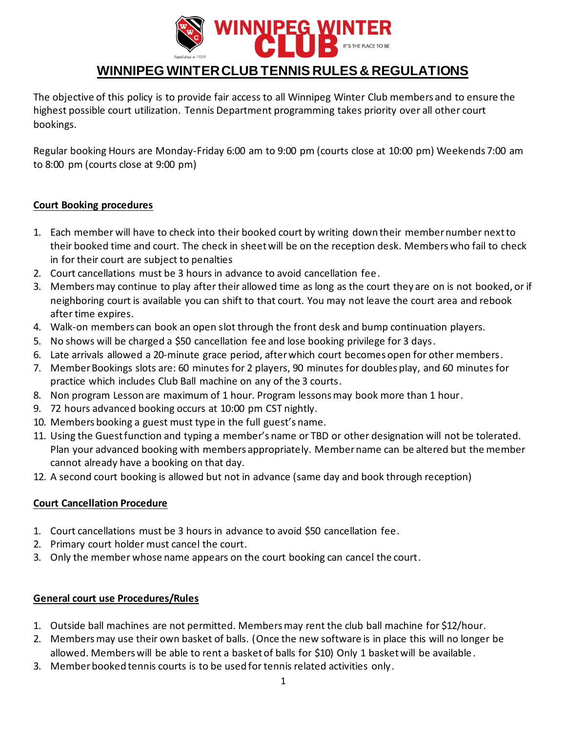

# **WINNIPEG WINTER CLUB TENNIS RULES & REGULATIONS**

The objective of this policy is to provide fair access to all Winnipeg Winter Club members and to ensure the highest possible court utilization. Tennis Department programming takes priority over all other court bookings.

Regular booking Hours are Monday-Friday 6:00 am to 9:00 pm (courts close at 10:00 pm) Weekends 7:00 am to 8:00 pm (courts close at 9:00 pm)

#### **Court Booking procedures**

- 1. Each member will have to check into their booked court by writing down their member number next to their booked time and court. The check in sheet will be on the reception desk. Members who fail to check in for their court are subject to penalties
- 2. Court cancellations must be 3 hours in advance to avoid cancellation fee.
- 3. Members may continue to play after their allowed time as long as the court they are on is not booked, or if neighboring court is available you can shift to that court. You may not leave the court area and rebook after time expires.
- 4. Walk-on members can book an open slot through the front desk and bump continuation players.
- 5. No shows will be charged a \$50 cancellation fee and lose booking privilege for 3 days.
- 6. Late arrivals allowed a 20-minute grace period, after which court becomes open for other members.
- 7. Member Bookings slots are: 60 minutes for 2 players, 90 minutes for doubles play, and 60 minutes for practice which includes Club Ball machine on any of the 3 courts.
- 8. Non program Lesson are maximum of 1 hour. Program lessons may book more than 1 hour.
- 9. 72 hours advanced booking occurs at 10:00 pm CST nightly.
- 10. Members booking a guest must type in the full guest's name.
- 11. Using the Guest function and typing a member's name or TBD or other designation will not be tolerated. Plan your advanced booking with members appropriately. Member name can be altered but the member cannot already have a booking on that day.
- 12. A second court booking is allowed but not in advance (same day and book through reception)

#### **Court Cancellation Procedure**

- 1. Court cancellations must be 3 hours in advance to avoid \$50 cancellation fee.
- 2. Primary court holder must cancel the court.
- 3. Only the member whose name appears on the court booking can cancel the court.

#### **General court use Procedures/Rules**

- 1. Outside ball machines are not permitted. Members may rent the club ball machine for \$12/hour.
- 2. Members may use their own basket of balls. (Once the new software is in place this will no longer be allowed. Members will be able to rent a basket of balls for \$10) Only 1 basket will be available .
- 3. Member booked tennis courts is to be used for tennis related activities only.